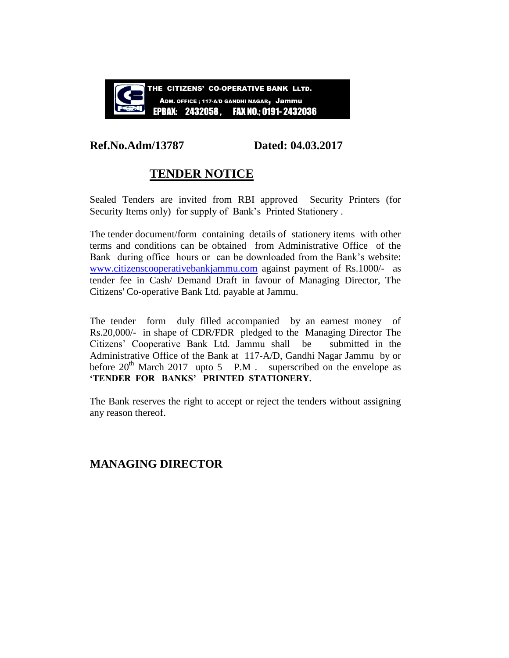

### **Ref.No.Adm/13787 Dated: 04.03.2017**

## **TENDER NOTICE**

Sealed Tenders are invited from RBI approved Security Printers (for Security Items only) for supply of Bank's Printed Stationery.

The tender document/form containing details of stationery items with other terms and conditions can be obtained from Administrative Office of the Bank during office hours or can be downloaded from the Bank's website: [www.citizenscooperativebankjammu.com](http://www.citizenscooperativebankjammu.com/) against payment of Rs.1000/- as tender fee in Cash/ Demand Draft in favour of Managing Director, The Citizens' Co-operative Bank Ltd. payable at Jammu.

The tender form duly filled accompanied by an earnest money of Rs.20,000/- in shape of CDR/FDR pledged to the Managing Director The Citizens' Cooperative Bank Ltd. Jammu shall be submitted in the Administrative Office of the Bank at 117-A/D, Gandhi Nagar Jammu by or before  $20^{th}$  March 2017 upto 5 P.M . superscribed on the envelope as **'TENDER FOR BANKS' PRINTED STATIONERY.**

The Bank reserves the right to accept or reject the tenders without assigning any reason thereof.

### **MANAGING DIRECTOR**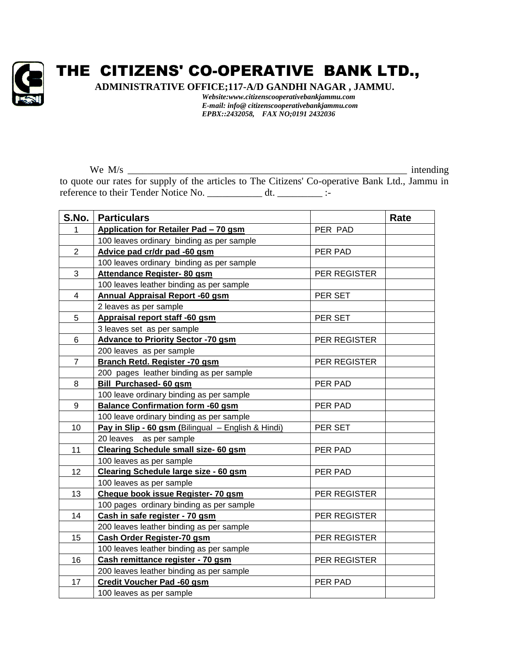

# THE CITIZENS' CO-OPERATIVE BANK LTD.,

**ADMINISTRATIVE OFFICE;117-A/D GANDHI NAGAR , JAMMU.**

*Website:www.citizenscooperativebankjammu.com E-mail: info@ citizenscooperativebankjammu.com EPBX::2432058, FAX NO;0191 2432036*

We M/s \_\_\_\_\_\_\_\_\_\_\_\_\_\_\_\_\_\_\_\_\_\_\_\_\_\_\_\_\_\_\_\_\_\_\_\_\_\_\_\_\_\_\_\_\_\_\_\_\_\_\_\_\_\_\_\_ intending to quote our rates for supply of the articles to The Citizens' Co-operative Bank Ltd., Jammu in reference to their Tender Notice No. \_\_\_\_\_\_\_\_\_\_\_\_\_ dt. \_\_\_\_\_\_\_\_\_\_\_\_\_ :-

| S.No.                   | <b>Particulars</b>                                 |                     | Rate |
|-------------------------|----------------------------------------------------|---------------------|------|
| 1                       | Application for Retailer Pad - 70 gsm              | PER PAD             |      |
|                         | 100 leaves ordinary binding as per sample          |                     |      |
| $\overline{2}$          | Advice pad cr/dr pad -60 gsm                       | PER PAD             |      |
|                         | 100 leaves ordinary binding as per sample          |                     |      |
| 3                       | Attendance Register- 80 gsm                        | PER REGISTER        |      |
|                         | 100 leaves leather binding as per sample           |                     |      |
| $\overline{\mathbf{4}}$ | Annual Appraisal Report -60 gsm                    | PER SET             |      |
|                         | 2 leaves as per sample                             |                     |      |
| 5                       | Appraisal report staff -60 gsm                     | PER SET             |      |
|                         | 3 leaves set as per sample                         |                     |      |
| 6                       | <b>Advance to Priority Sector -70 gsm</b>          | PER REGISTER        |      |
|                         | 200 leaves as per sample                           |                     |      |
| $\overline{7}$          | Branch Retd. Register -70 gsm                      | PER REGISTER        |      |
|                         | 200 pages leather binding as per sample            |                     |      |
| 8                       | Bill Purchased- 60 gsm                             | PER PAD             |      |
|                         | 100 leave ordinary binding as per sample           |                     |      |
| 9                       | <b>Balance Confirmation form -60 gsm</b>           | PER PAD             |      |
|                         | 100 leave ordinary binding as per sample           |                     |      |
| 10                      | Pay in Slip - 60 gsm (Bilingual - English & Hindi) | PER SET             |      |
|                         | 20 leaves<br>as per sample                         |                     |      |
| 11                      | Clearing Schedule small size- 60 gsm               | PER PAD             |      |
|                         | 100 leaves as per sample                           |                     |      |
| 12                      | Clearing Schedule large size - 60 gsm              | PER PAD             |      |
|                         | 100 leaves as per sample                           |                     |      |
| 13                      | Cheque book issue Register- 70 gsm                 | <b>PER REGISTER</b> |      |
|                         | 100 pages ordinary binding as per sample           |                     |      |
| 14                      | Cash in safe register - 70 gsm                     | PER REGISTER        |      |
|                         | 200 leaves leather binding as per sample           |                     |      |
| 15                      | Cash Order Register-70 gsm                         | PER REGISTER        |      |
|                         | 100 leaves leather binding as per sample           |                     |      |
| 16                      | Cash remittance register - 70 gsm                  | PER REGISTER        |      |
|                         | 200 leaves leather binding as per sample           |                     |      |
| 17                      | Credit Voucher Pad -60 gsm                         | PER PAD             |      |
|                         | 100 leaves as per sample                           |                     |      |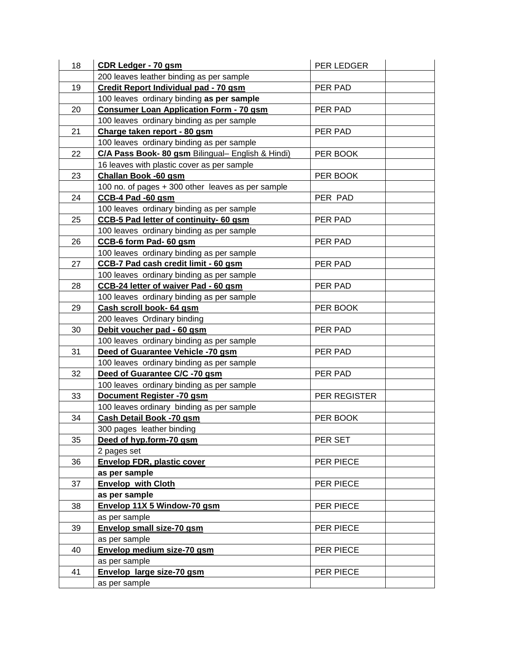| 18 | <b>CDR Ledger - 70 gsm</b>                        | PER LEDGER   |  |
|----|---------------------------------------------------|--------------|--|
|    | 200 leaves leather binding as per sample          |              |  |
| 19 | Credit Report Individual pad - 70 gsm             | PER PAD      |  |
|    | 100 leaves ordinary binding as per sample         |              |  |
| 20 | <b>Consumer Loan Application Form - 70 gsm</b>    | PER PAD      |  |
|    | 100 leaves ordinary binding as per sample         |              |  |
| 21 | Charge taken report - 80 gsm                      | PER PAD      |  |
|    | 100 leaves ordinary binding as per sample         |              |  |
| 22 | C/A Pass Book- 80 gsm Bilingual- English & Hindi) | PER BOOK     |  |
|    | 16 leaves with plastic cover as per sample        |              |  |
| 23 | Challan Book -60 gsm                              | PER BOOK     |  |
|    | 100 no. of pages + 300 other leaves as per sample |              |  |
| 24 | CCB-4 Pad -60 gsm                                 | PER PAD      |  |
|    | 100 leaves ordinary binding as per sample         |              |  |
| 25 | <b>CCB-5 Pad letter of continuity-60 gsm</b>      | PER PAD      |  |
|    | 100 leaves ordinary binding as per sample         |              |  |
| 26 | CCB-6 form Pad- 60 gsm                            | PER PAD      |  |
|    | 100 leaves ordinary binding as per sample         |              |  |
| 27 | <b>CCB-7 Pad cash credit limit - 60 gsm</b>       | PER PAD      |  |
|    | 100 leaves ordinary binding as per sample         |              |  |
| 28 | CCB-24 letter of waiver Pad - 60 gsm              | PER PAD      |  |
|    | 100 leaves ordinary binding as per sample         |              |  |
| 29 | Cash scroll book- 64 gsm                          | PER BOOK     |  |
|    | 200 leaves Ordinary binding                       |              |  |
| 30 | Debit voucher pad - 60 gsm                        | PER PAD      |  |
|    | 100 leaves ordinary binding as per sample         |              |  |
| 31 | Deed of Guarantee Vehicle -70 gsm                 | PER PAD      |  |
|    | 100 leaves ordinary binding as per sample         |              |  |
| 32 | Deed of Guarantee C/C -70 gsm                     | PER PAD      |  |
|    | 100 leaves ordinary binding as per sample         |              |  |
| 33 | Document Register -70 gsm                         | PER REGISTER |  |
|    | 100 leaves ordinary binding as per sample         |              |  |
| 34 | Cash Detail Book -70 gsm                          | PER BOOK     |  |
|    | 300 pages leather binding                         |              |  |
| 35 | Deed of hyp.form-70 gsm                           | PER SET      |  |
|    | 2 pages set                                       |              |  |
| 36 | <b>Envelop FDR, plastic cover</b>                 | PER PIECE    |  |
|    | as per sample                                     |              |  |
| 37 | <b>Envelop with Cloth</b>                         | PER PIECE    |  |
|    | as per sample                                     |              |  |
| 38 | Envelop 11X 5 Window-70 gsm                       | PER PIECE    |  |
|    | as per sample                                     |              |  |
| 39 | Envelop small size-70 gsm                         | PER PIECE    |  |
|    | as per sample                                     |              |  |
| 40 | Envelop medium size-70 gsm                        | PER PIECE    |  |
|    | as per sample                                     |              |  |
| 41 | Envelop large size-70 gsm                         | PER PIECE    |  |
|    | as per sample                                     |              |  |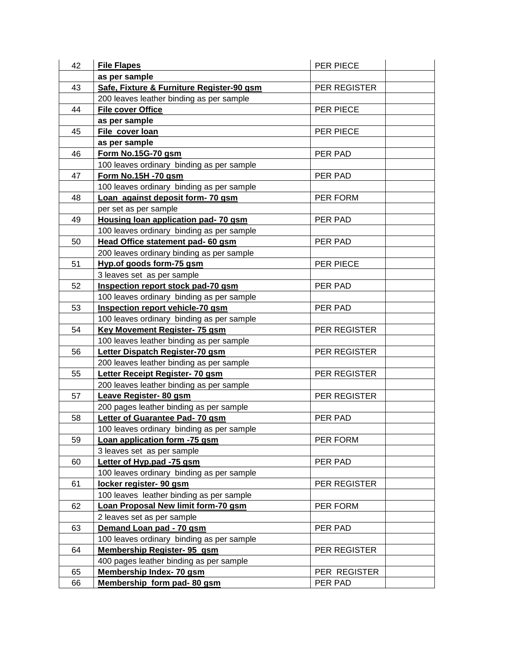| 42 | <b>File Flapes</b>                        | PER PIECE    |
|----|-------------------------------------------|--------------|
|    | as per sample                             |              |
| 43 | Safe, Fixture & Furniture Register-90 gsm | PER REGISTER |
|    | 200 leaves leather binding as per sample  |              |
| 44 | <b>File cover Office</b>                  | PER PIECE    |
|    | as per sample                             |              |
| 45 | File cover loan                           | PER PIECE    |
|    | as per sample                             |              |
| 46 | Form No.15G-70 gsm                        | PER PAD      |
|    | 100 leaves ordinary binding as per sample |              |
| 47 | Form No.15H -70 gsm                       | PER PAD      |
|    | 100 leaves ordinary binding as per sample |              |
| 48 | Loan against deposit form-70 gsm          | PER FORM     |
|    | per set as per sample                     |              |
| 49 | Housing loan application pad- 70 gsm      | PER PAD      |
|    | 100 leaves ordinary binding as per sample |              |
| 50 | Head Office statement pad- 60 gsm         | PER PAD      |
|    | 200 leaves ordinary binding as per sample |              |
| 51 | Hyp.of goods form-75 gsm                  | PER PIECE    |
|    | 3 leaves set as per sample                |              |
| 52 | Inspection report stock pad-70 gsm        | PER PAD      |
|    | 100 leaves ordinary binding as per sample |              |
| 53 | Inspection report vehicle-70 gsm          | PER PAD      |
|    | 100 leaves ordinary binding as per sample |              |
| 54 | <b>Key Movement Register- 75 gsm</b>      | PER REGISTER |
|    | 100 leaves leather binding as per sample  |              |
| 56 | Letter Dispatch Register-70 gsm           | PER REGISTER |
|    | 200 leaves leather binding as per sample  |              |
| 55 | Letter Receipt Register- 70 gsm           | PER REGISTER |
|    | 200 leaves leather binding as per sample  |              |
| 57 | Leave Register- 80 gsm                    | PER REGISTER |
|    | 200 pages leather binding as per sample   |              |
| 58 | Letter of Guarantee Pad- 70 gsm           | PER PAD      |
|    | 100 leaves ordinary binding as per sample |              |
| 59 | Loan application form -75 gsm             | PER FORM     |
|    | 3 leaves set as per sample                |              |
| 60 | Letter of Hyp.pad -75 gsm                 | PER PAD      |
|    | 100 leaves ordinary binding as per sample |              |
| 61 | locker register- 90 gsm                   | PER REGISTER |
|    | 100 leaves leather binding as per sample  |              |
| 62 | Loan Proposal New limit form-70 gsm       | PER FORM     |
|    | 2 leaves set as per sample                |              |
| 63 | Demand Loan pad - 70 gsm                  | PER PAD      |
|    | 100 leaves ordinary binding as per sample |              |
| 64 | <b>Membership Register- 95 gsm</b>        | PER REGISTER |
|    | 400 pages leather binding as per sample   |              |
| 65 | <b>Membership Index- 70 gsm</b>           | PER REGISTER |
| 66 | Membership form pad-80 gsm                | PER PAD      |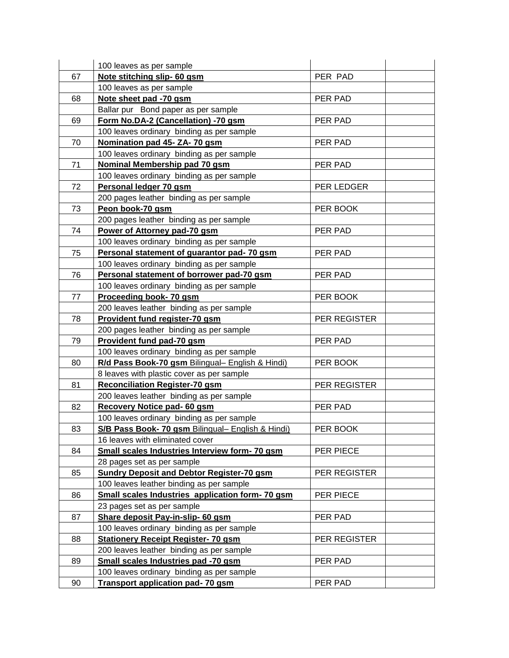|    | 100 leaves as per sample                          |              |  |
|----|---------------------------------------------------|--------------|--|
| 67 | Note stitching slip- 60 gsm                       | PER PAD      |  |
|    | 100 leaves as per sample                          |              |  |
| 68 | Note sheet pad -70 gsm                            | PER PAD      |  |
|    | Ballar pur Bond paper as per sample               |              |  |
| 69 | Form No.DA-2 (Cancellation) -70 gsm               | PER PAD      |  |
|    | 100 leaves ordinary binding as per sample         |              |  |
| 70 | Nomination pad 45- ZA- 70 gsm                     | PER PAD      |  |
|    | 100 leaves ordinary binding as per sample         |              |  |
| 71 | Nominal Membership pad 70 gsm                     | PER PAD      |  |
|    | 100 leaves ordinary binding as per sample         |              |  |
| 72 | Personal ledger 70 gsm                            | PER LEDGER   |  |
|    | 200 pages leather binding as per sample           |              |  |
| 73 | Peon book-70 gsm                                  | PER BOOK     |  |
|    | 200 pages leather binding as per sample           |              |  |
| 74 | Power of Attorney pad-70 gsm                      | PER PAD      |  |
|    | 100 leaves ordinary binding as per sample         |              |  |
| 75 | Personal statement of guarantor pad- 70 gsm       | PER PAD      |  |
|    | 100 leaves ordinary binding as per sample         |              |  |
| 76 | Personal statement of borrower pad-70 gsm         | PER PAD      |  |
|    | 100 leaves ordinary binding as per sample         |              |  |
| 77 | Proceeding book- 70 gsm                           | PER BOOK     |  |
|    | 200 leaves leather binding as per sample          |              |  |
| 78 | Provident fund register-70 gsm                    | PER REGISTER |  |
|    | 200 pages leather binding as per sample           |              |  |
| 79 | Provident fund pad-70 gsm                         | PER PAD      |  |
|    | 100 leaves ordinary binding as per sample         |              |  |
| 80 | R/d Pass Book-70 gsm Bilingual- English & Hindi)  | PER BOOK     |  |
|    | 8 leaves with plastic cover as per sample         |              |  |
| 81 | <b>Reconciliation Register-70 gsm</b>             | PER REGISTER |  |
|    | 200 leaves leather binding as per sample          |              |  |
| 82 | Recovery Notice pad- 60 gsm                       | PER PAD      |  |
|    | 100 leaves ordinary binding as per sample         |              |  |
| 83 | S/B Pass Book- 70 gsm Bilingual- English & Hindi) | PER BOOK     |  |
|    | 16 leaves with eliminated cover                   |              |  |
| 84 | Small scales Industries Interview form- 70 gsm    | PER PIECE    |  |
|    | 28 pages set as per sample                        |              |  |
| 85 | <b>Sundry Deposit and Debtor Register-70 gsm</b>  | PER REGISTER |  |
|    | 100 leaves leather binding as per sample          |              |  |
| 86 | Small scales Industries application form- 70 gsm  | PER PIECE    |  |
|    | 23 pages set as per sample                        |              |  |
| 87 | Share deposit Pay-in-slip- 60 gsm                 | PER PAD      |  |
|    | 100 leaves ordinary binding as per sample         |              |  |
| 88 | <b>Stationery Receipt Register- 70 gsm</b>        | PER REGISTER |  |
|    | 200 leaves leather binding as per sample          |              |  |
| 89 | Small scales Industries pad -70 gsm               | PER PAD      |  |
|    | 100 leaves ordinary binding as per sample         |              |  |
| 90 | <b>Transport application pad-70 gsm</b>           | PER PAD      |  |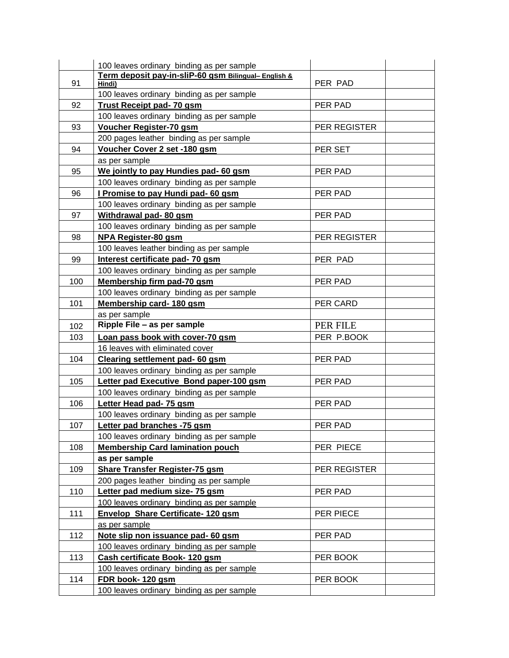|     | 100 leaves ordinary binding as per sample            |              |  |
|-----|------------------------------------------------------|--------------|--|
|     | Term deposit pay-in-sliP-60 gsm Bilingual- English & |              |  |
| 91  | Hindi)                                               | PER PAD      |  |
|     | 100 leaves ordinary binding as per sample            |              |  |
| 92  | <b>Trust Receipt pad-70 gsm</b>                      | PER PAD      |  |
|     | 100 leaves ordinary binding as per sample            |              |  |
| 93  | <b>Voucher Register-70 gsm</b>                       | PER REGISTER |  |
|     | 200 pages leather binding as per sample              |              |  |
| 94  | Voucher Cover 2 set -180 gsm                         | PER SET      |  |
|     | as per sample                                        |              |  |
| 95  | We jointly to pay Hundies pad- 60 gsm                | PER PAD      |  |
|     | 100 leaves ordinary binding as per sample            |              |  |
| 96  | I Promise to pay Hundi pad- 60 gsm                   | PER PAD      |  |
|     | 100 leaves ordinary binding as per sample            |              |  |
| 97  | Withdrawal pad- 80 gsm                               | PER PAD      |  |
|     | 100 leaves ordinary binding as per sample            |              |  |
| 98  | <b>NPA Register-80 gsm</b>                           | PER REGISTER |  |
|     | 100 leaves leather binding as per sample             |              |  |
| 99  | Interest certificate pad- 70 gsm                     | PER PAD      |  |
|     | 100 leaves ordinary binding as per sample            |              |  |
| 100 | Membership firm pad-70 gsm                           | PER PAD      |  |
|     | 100 leaves ordinary binding as per sample            |              |  |
| 101 | Membership card-180 gsm                              | PER CARD     |  |
|     | as per sample                                        |              |  |
| 102 | Ripple File - as per sample                          | PER FILE     |  |
| 103 | Loan pass book with cover-70 gsm                     | PER P.BOOK   |  |
|     | 16 leaves with eliminated cover                      |              |  |
| 104 | Clearing settlement pad- 60 gsm                      | PER PAD      |  |
|     | 100 leaves ordinary binding as per sample            |              |  |
| 105 | Letter pad Executive Bond paper-100 gsm              | PER PAD      |  |
|     | 100 leaves ordinary binding as per sample            |              |  |
| 106 | Letter Head pad- 75 gsm                              | PER PAD      |  |
|     | 100 leaves ordinary binding as per sample            |              |  |
| 107 | Letter pad branches -75 gsm                          | PER PAD      |  |
|     | 100 leaves ordinary binding as per sample            |              |  |
| 108 | <b>Membership Card lamination pouch</b>              | PER PIECE    |  |
|     | as per sample                                        |              |  |
| 109 | Share Transfer Register-75 gsm                       | PER REGISTER |  |
|     | 200 pages leather binding as per sample              |              |  |
| 110 | Letter pad medium size- 75 gsm                       | PER PAD      |  |
|     | 100 leaves ordinary binding as per sample            |              |  |
| 111 | <b>Envelop Share Certificate-120 gsm</b>             | PER PIECE    |  |
|     | as per sample                                        |              |  |
| 112 | Note slip non issuance pad- 60 gsm                   | PER PAD      |  |
|     | 100 leaves ordinary binding as per sample            |              |  |
| 113 | Cash certificate Book-120 gsm                        | PER BOOK     |  |
|     | 100 leaves ordinary binding as per sample            |              |  |
| 114 | FDR book-120 gsm                                     | PER BOOK     |  |
|     | 100 leaves ordinary binding as per sample            |              |  |
|     |                                                      |              |  |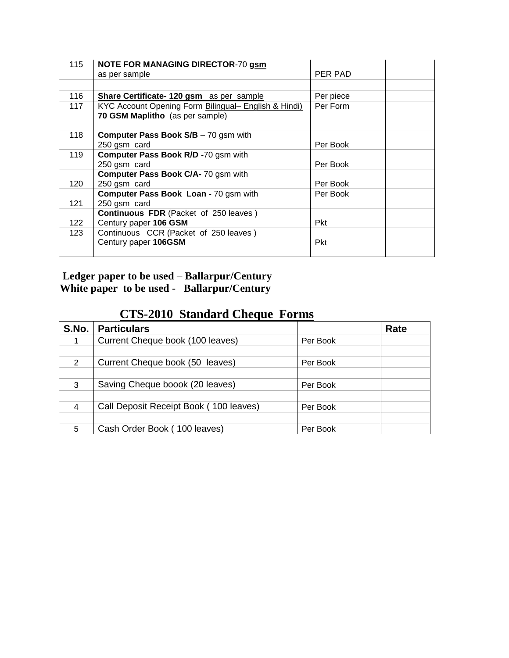| 115 | <b>NOTE FOR MANAGING DIRECTOR-70 gsm</b>             |            |
|-----|------------------------------------------------------|------------|
|     | as per sample                                        | PER PAD    |
|     |                                                      |            |
| 116 | <b>Share Certificate-120 gsm</b> as per sample       | Per piece  |
| 117 | KYC Account Opening Form Bilingual- English & Hindi) | Per Form   |
|     | 70 GSM Maplitho (as per sample)                      |            |
|     |                                                      |            |
| 118 | <b>Computer Pass Book S/B - 70 gsm with</b>          |            |
|     | 250 gsm card                                         | Per Book   |
| 119 | Computer Pass Book R/D -70 gsm with                  |            |
|     | 250 gsm card                                         | Per Book   |
|     | Computer Pass Book C/A- 70 gsm with                  |            |
| 120 | 250 gsm card                                         | Per Book   |
|     | Computer Pass Book Loan - 70 gsm with                | Per Book   |
| 121 | 250 gsm card                                         |            |
|     | <b>Continuous FDR</b> (Packet of 250 leaves)         |            |
| 122 | Century paper 106 GSM                                | <b>Pkt</b> |
| 123 | Continuous CCR (Packet of 250 leaves)                |            |
|     | Century paper 106GSM                                 | <b>Pkt</b> |
|     |                                                      |            |

### **Ledger paper to be used – Ballarpur/Century White paper to be used - Ballarpur/Century**

# **CTS-2010 Standard Cheque Forms**

| S.No. | <b>Particulars</b>                     |          | Rate |
|-------|----------------------------------------|----------|------|
|       | Current Cheque book (100 leaves)       | Per Book |      |
|       |                                        |          |      |
| 2     | Current Cheque book (50 leaves)        | Per Book |      |
|       |                                        |          |      |
| 3     | Saving Cheque boook (20 leaves)        | Per Book |      |
|       |                                        |          |      |
| 4     | Call Deposit Receipt Book (100 leaves) | Per Book |      |
|       |                                        |          |      |
| 5     | Cash Order Book (100 leaves)           | Per Book |      |